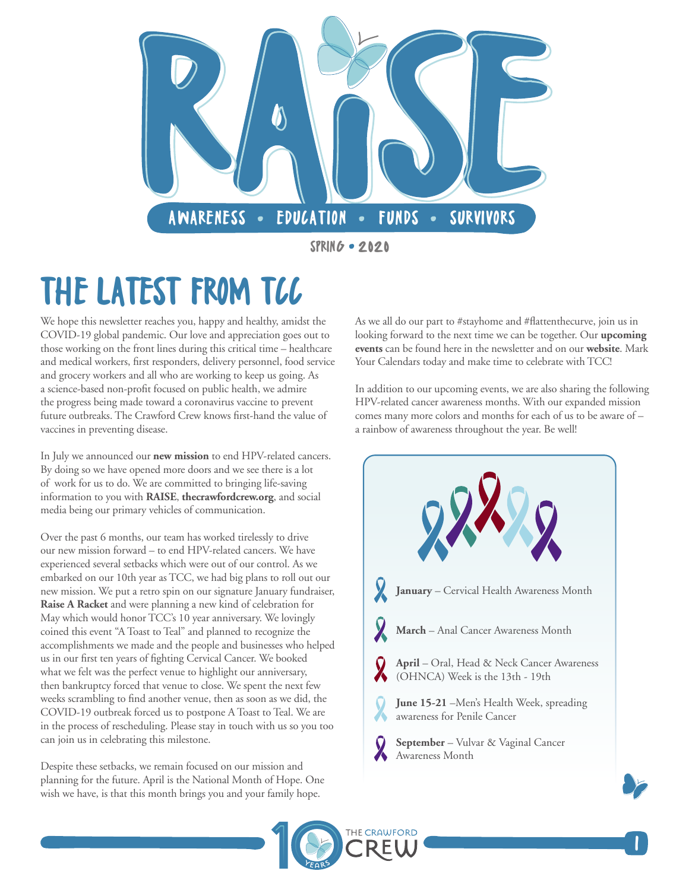

SPRING 2020

# THE LATEST FROM TCC

We hope this newsletter reaches you, happy and healthy, amidst the COVID-19 global pandemic. Our love and appreciation goes out to those working on the front lines during this critical time – healthcare and medical workers, first responders, delivery personnel, food service and grocery workers and all who are working to keep us going. As a science-based non-profit focused on public health, we admire the progress being made toward a coronavirus vaccine to prevent future outbreaks. The Crawford Crew knows first-hand the value of vaccines in preventing disease.

In July we announced our **[new mission](https://thecrawfordcrew.org/mission/)** to end HPV-related cancers. By doing so we have opened more doors and we see there is a lot of work for us to do. We are committed to bringing life-saving information to you with **[RAISE](https://thecrawfordcrew.org/raise-newsletter/)**, **[thecrawfordcrew.org](https://thecrawfordcrew.org/)**, and social media being our primary vehicles of communication.

Over the past 6 months, our team has worked tirelessly to drive our new mission forward – to end HPV-related cancers. We have experienced several setbacks which were out of our control. As we embarked on our 10th year as TCC, we had big plans to roll out our new mission. We put a retro spin on our signature January fundraiser, **[Raise A Racket](https://thecrawfordcrew.org/events/raise-a-racket/)** and were planning a new kind of celebration for May which would honor TCC's 10 year anniversary. We lovingly coined this event "A Toast to Teal" and planned to recognize the accomplishments we made and the people and businesses who helped us in our first ten years of fighting Cervical Cancer. We booked what we felt was the perfect venue to highlight our anniversary, then bankruptcy forced that venue to close. We spent the next few weeks scrambling to find another venue, then as soon as we did, the COVID-19 outbreak forced us to postpone A Toast to Teal. We are in the process of rescheduling. Please stay in touch with us so you too can join us in celebrating this milestone.

Despite these setbacks, we remain focused on our mission and planning for the future. April is the National Month of Hope. One wish we have, is that this month brings you and your family hope.

As we all do our part to #stayhome and #flattenthecurve, join us in looking forward to the next time we can be together. Our **[upcoming](https://thecrawfordcrew.org/events/) [events](https://thecrawfordcrew.org/events/)** can be found here in the newsletter and on our **[website](https://thecrawfordcrew.org/events/)**. Mark Your Calendars today and make time to celebrate with TCC!

In addition to our upcoming events, we are also sharing the following HPV-related cancer awareness months. With our expanded mission comes many more colors and months for each of us to be aware of – a rainbow of awareness throughout the year. Be well!



1

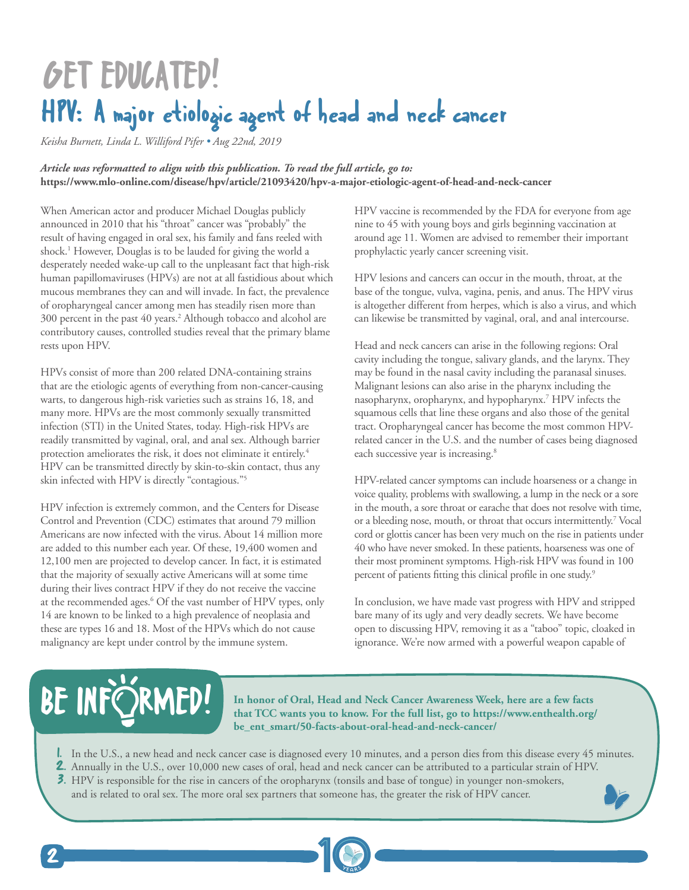## GET EDUCATED! HPV: A major etiologic agent of head and neck cancer

*Keisha Burnett, Linda L. Williford Pifer • Aug 22nd, 2019*

*Article was reformatted to align with this publication. To read the full article, go to:* **<https://www.mlo-online.com/disease/hpv/article/21093420/hpv-a-major-etiologic-agent-of-head-and-neck-cancer>**

When American actor and producer Michael Douglas publicly announced in 2010 that his "throat" cancer was "probably" the result of having engaged in oral sex, his family and fans reeled with shock.<sup>1</sup> However, Douglas is to be lauded for giving the world a desperately needed wake-up call to the unpleasant fact that high-risk human papillomaviruses (HPVs) are not at all fastidious about which mucous membranes they can and will invade. In fact, the prevalence of oropharyngeal cancer among men has steadily risen more than 300 percent in the past 40 years.2 Although tobacco and alcohol are contributory causes, controlled studies reveal that the primary blame rests upon HPV.

HPVs consist of more than 200 related DNA-containing strains that are the etiologic agents of everything from non-cancer-causing warts, to dangerous high-risk varieties such as strains 16, 18, and many more. HPVs are the most commonly sexually transmitted infection (STI) in the United States, today. High-risk HPVs are readily transmitted by vaginal, oral, and anal sex. Although barrier protection ameliorates the risk, it does not eliminate it entirely.<sup>4</sup> HPV can be transmitted directly by skin-to-skin contact, thus any skin infected with HPV is directly "contagious."5

HPV infection is extremely common, and the Centers for Disease Control and Prevention (CDC) estimates that around 79 million Americans are now infected with the virus. About 14 million more are added to this number each year. Of these, 19,400 women and 12,100 men are projected to develop cancer. In fact, it is estimated that the majority of sexually active Americans will at some time during their lives contract HPV if they do not receive the vaccine at the recommended ages.<sup>6</sup> Of the vast number of HPV types, only 14 are known to be linked to a high prevalence of neoplasia and these are types 16 and 18. Most of the HPVs which do not cause malignancy are kept under control by the immune system.

HPV vaccine is recommended by the FDA for everyone from age nine to 45 with young boys and girls beginning vaccination at around age 11. Women are advised to remember their important prophylactic yearly cancer screening visit.

HPV lesions and cancers can occur in the mouth, throat, at the base of the tongue, vulva, vagina, penis, and anus. The HPV virus is altogether different from herpes, which is also a virus, and which can likewise be transmitted by vaginal, oral, and anal intercourse.

Head and neck cancers can arise in the following regions: Oral cavity including the tongue, salivary glands, and the larynx. They may be found in the nasal cavity including the paranasal sinuses. Malignant lesions can also arise in the pharynx including the nasopharynx, oropharynx, and hypopharynx.7 HPV infects the squamous cells that line these organs and also those of the genital tract. Oropharyngeal cancer has become the most common HPVrelated cancer in the U.S. and the number of cases being diagnosed each successive year is increasing.<sup>8</sup>

HPV-related cancer symptoms can include hoarseness or a change in voice quality, problems with swallowing, a lump in the neck or a sore in the mouth, a sore throat or earache that does not resolve with time, or a bleeding nose, mouth, or throat that occurs intermittently.7 Vocal cord or glottis cancer has been very much on the rise in patients under 40 who have never smoked. In these patients, hoarseness was one of their most prominent symptoms. High-risk HPV was found in 100 percent of patients fitting this clinical profile in one study.<sup>9</sup>

In conclusion, we have made vast progress with HPV and stripped bare many of its ugly and very deadly secrets. We have become open to discussing HPV, removing it as a "taboo" topic, cloaked in ignorance. We're now armed with a powerful weapon capable of

# BE INFÖRMED!

**In honor of Oral, Head and Neck Cancer Awareness Week, here are a few facts that TCC wants you to know. For the full list, go to [https://www.enthealth.org/](https://www.enthealth.org/be_ent_smart/50-facts-about-oral-head-and-neck-cancer/) [be\\_ent\\_smart/50-facts-about-oral-head-and-neck-cancer/](https://www.enthealth.org/be_ent_smart/50-facts-about-oral-head-and-neck-cancer/)**

1. In the U.S., a new head and neck cancer case is diagnosed every 10 minutes, and a person dies from this disease every 45 minutes.

- 2. Annually in the U.S., over 10,000 new cases of oral, head and neck cancer can be attributed to a particular strain of HPV.
- 3. HPV is responsible for the rise in cancers of the oropharynx (tonsils and base of tongue) in younger non-smokers, and is related to oral sex. The more oral sex partners that someone has, the greater the risk of HPV cancer.

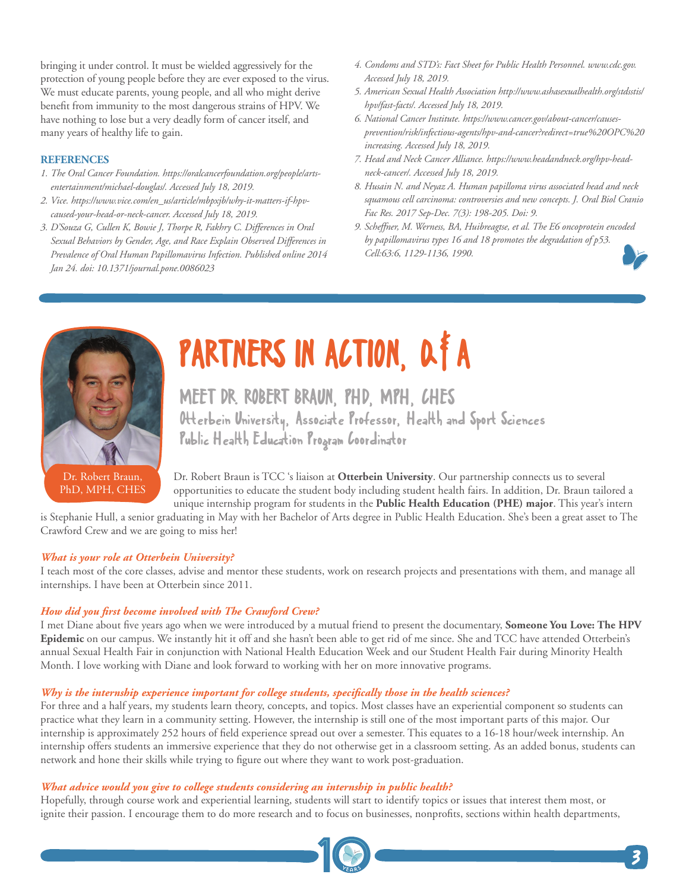bringing it under control. It must be wielded aggressively for the protection of young people before they are ever exposed to the virus. We must educate parents, young people, and all who might derive benefit from immunity to the most dangerous strains of HPV. We have nothing to lose but a very deadly form of cancer itself, and many years of healthy life to gain.

#### **REFERENCES**

- *1. The Oral Cancer Foundation. https://oralcancerfoundation.org/people/artsentertainment/michael-douglas/. Accessed July 18, 2019.*
- *2. Vice. https://www.vice.com/en\_us/article/mbpxjb/why-it-matters-if-hpvcaused-your-head-or-neck-cancer. Accessed July 18, 2019.*
- *3. D'Souza G, Cullen K, Bowie J, Thorpe R, Fakhry C. Differences in Oral Sexual Behaviors by Gender, Age, and Race Explain Observed Differences in Prevalence of Oral Human Papillomavirus Infection. Published online 2014 Jan 24. doi: 10.1371/journal.pone.0086023*
- *4. Condoms and STD's: Fact Sheet for Public Health Personnel. www.cdc.gov. Accessed July 18, 2019.*
- *5. American Sexual Health Association http://www.ashasexualhealth.org/stdsstis/ hpv/fast-facts/. Accessed July 18, 2019.*
- *6. National Cancer Institute. https://www.cancer.gov/about-cancer/causesprevention/risk/infectious-agents/hpv-and-cancer?redirect=true%20OPC%20 increasing. Accessed July 18, 2019.*
- *7. Head and Neck Cancer Alliance. https://www.headandneck.org/hpv-headneck-cancer/. Accessed July 18, 2019.*
- *8. Husain N. and Neyaz A. Human papilloma virus associated head and neck squamous cell carcinoma: controversies and new concepts. J. Oral Biol Cranio Fac Res. 2017 Sep-Dec. 7(3): 198-205. Doi: 9.*
- *9. Scheffner, M. Werness, BA, Huibreagtse, et al. The E6 oncoprotein encoded by papillomavirus types 16 and 18 promotes the degradation of p53. Cell:63:6, 1129-1136, 1990.*



PhD, MPH, CHES

# PARTNERS IN ACTION, Q#A

MEET DR. ROBERT BRAUN, PHD, MPH, CHES Otterbein University, Associate Professor, Health and Sport Sciences Public Health Education Program Coordinator

Dr. Robert Braun is TCC 's liaison at **[Otterbein University](https://www.otterbein.edu/)**. Our partnership connects us to several opportunities to educate the student body including student health fairs. In addition, Dr. Braun tailored a unique internship program for students in the **[Public Health Education \(PHE\) major](https://www.otterbein.edu/programs/bachelor-of-arts-public-health-education/)**. This year's intern

is Stephanie Hull, a senior graduating in May with her Bachelor of Arts degree in Public Health Education. She's been a great asset to The Crawford Crew and we are going to miss her!

#### *What is your role at Otterbein University?*

I teach most of the core classes, advise and mentor these students, work on research projects and presentations with them, and manage all internships. I have been at Otterbein since 2011.

#### *How did you first become involved with The Crawford Crew?*

I met Diane about five years ago when we were introduced by a mutual friend to present the documentary, **[Someone You Love: The HPV](https://thecrawfordcrew.org/hpv-epidemic-video/) [Epidemic](https://thecrawfordcrew.org/hpv-epidemic-video/)** on our campus. We instantly hit it off and she hasn't been able to get rid of me since. She and TCC have attended Otterbein's annual Sexual Health Fair in conjunction with National Health Education Week and our Student Health Fair during Minority Health Month. I love working with Diane and look forward to working with her on more innovative programs.

#### *Why is the internship experience important for college students, specifically those in the health sciences?*

For three and a half years, my students learn theory, concepts, and topics. Most classes have an experiential component so students can practice what they learn in a community setting. However, the internship is still one of the most important parts of this major. Our internship is approximately 252 hours of field experience spread out over a semester. This equates to a 16-18 hour/week internship. An internship offers students an immersive experience that they do not otherwise get in a classroom setting. As an added bonus, students can network and hone their skills while trying to figure out where they want to work post-graduation.

#### *What advice would you give to college students considering an internship in public health?*

Hopefully, through course work and experiential learning, students will start to identify topics or issues that interest them most, or ignite their passion. I encourage them to do more research and to focus on businesses, nonprofits, sections within health departments,